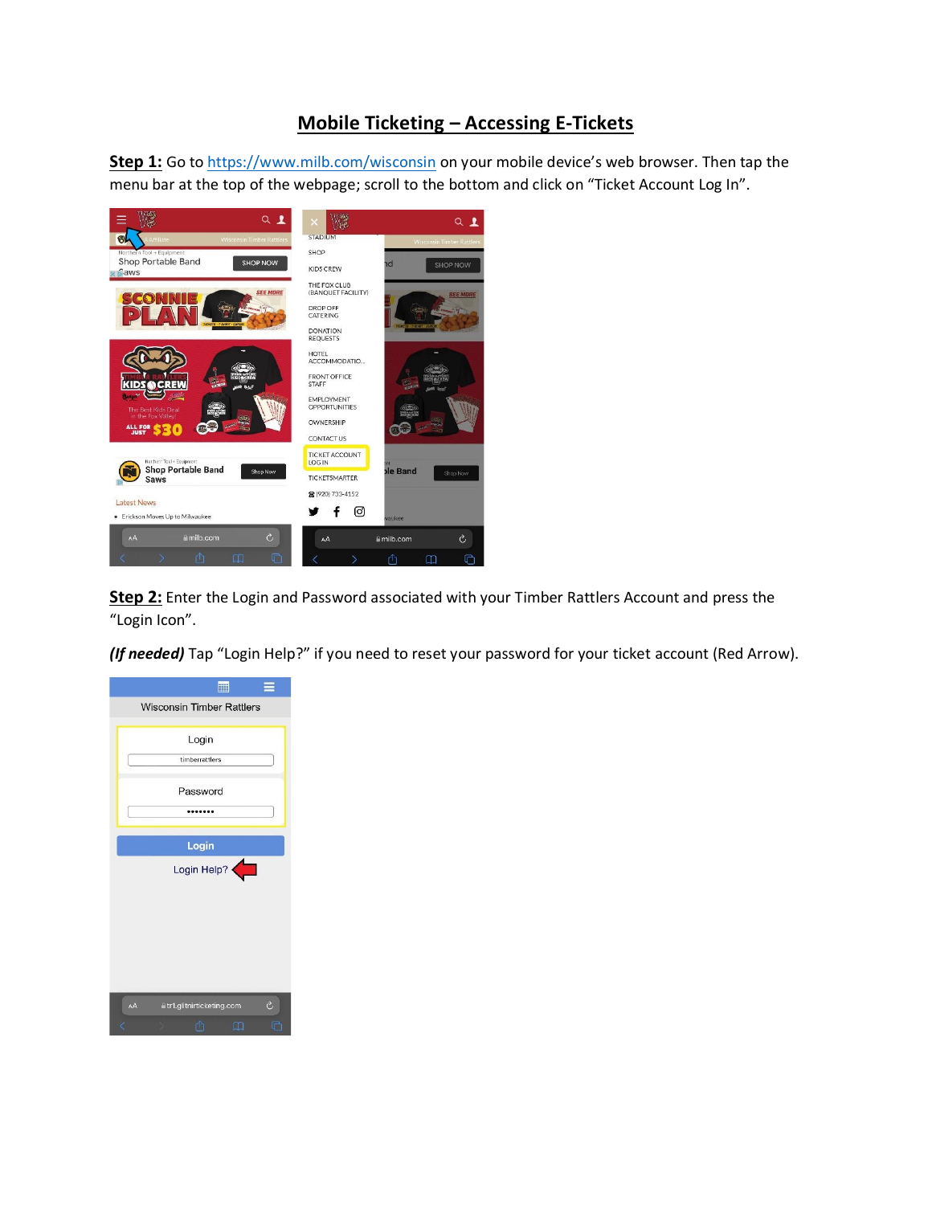## **Mobile Ticketing – Accessing E-Tickets**

**Step 1:** Go to<https://www.milb.com/wisconsin> on your mobile device's web browser. Then tap the menu bar at the top of the webpage; scroll to the bottom and click on "Ticket Account Log In".



**Step 2:** Enter the Login and Password associated with your Timber Rattlers Account and press the "Login Icon".

*(If needed)* Tap "Login Help?" if you need to reset your password for your ticket account (Red Arrow).

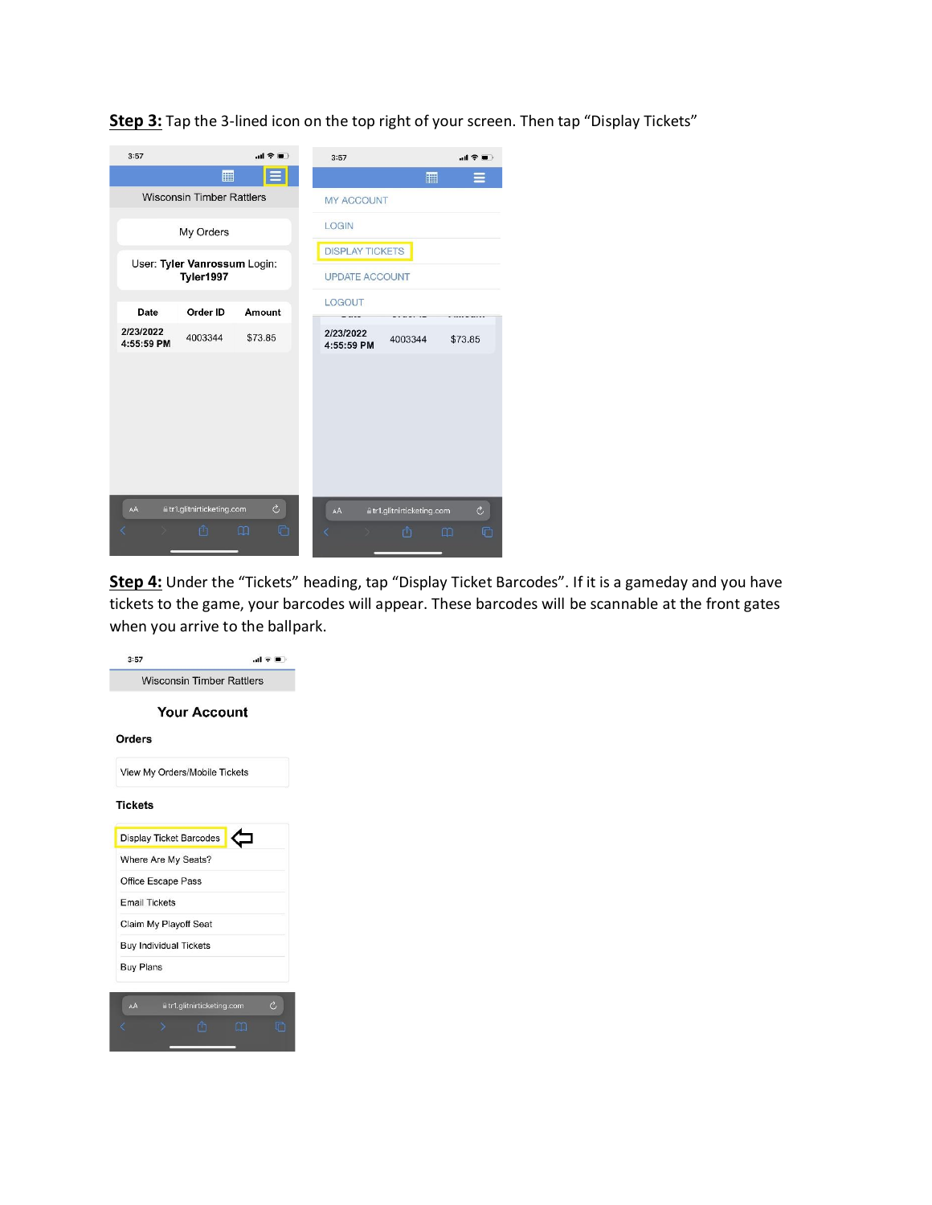**Step 3:** Tap the 3-lined icon on the top right of your screen. Then tap "Display Tickets"

| 3:57                                      |                            | $m \approx m$          | 3:57       | 司令軍                                        |  |  |  |
|-------------------------------------------|----------------------------|------------------------|------------|--------------------------------------------|--|--|--|
|                                           | 團                          |                        |            | 鼏                                          |  |  |  |
| <b>Wisconsin Timber Rattlers</b>          |                            | <b>MY ACCOUNT</b>      |            |                                            |  |  |  |
| My Orders                                 |                            |                        | LOGIN      |                                            |  |  |  |
| User: Tyler Vanrossum Login:<br>Tyler1997 |                            | <b>DISPLAY TICKETS</b> |            |                                            |  |  |  |
|                                           |                            | <b>UPDATE ACCOUNT</b>  |            |                                            |  |  |  |
| Date                                      | Order ID                   | Amount                 | LOGOUT     |                                            |  |  |  |
| 2/23/2022                                 |                            |                        | 2/23/2022  |                                            |  |  |  |
| 4:55:59 PM                                | 4003344                    | \$73.85                | 4:55:59 PM | 4003344<br>\$73.85                         |  |  |  |
|                                           |                            |                        |            |                                            |  |  |  |
|                                           |                            |                        |            |                                            |  |  |  |
|                                           |                            |                        |            |                                            |  |  |  |
|                                           |                            |                        |            |                                            |  |  |  |
|                                           |                            |                        |            |                                            |  |  |  |
|                                           |                            |                        |            |                                            |  |  |  |
| AÁ                                        | a tr1.glitnirticketing.com | $\circ$                | AA         | $\mathcal{C}$<br>#tr1.glitnirticketing.com |  |  |  |
|                                           | ப்                         | $\Box$<br>머            |            | û<br>$\Box$<br>n                           |  |  |  |
|                                           |                            |                        |            |                                            |  |  |  |

**Step 4:** Under the "Tickets" heading, tap "Display Ticket Barcodes". If it is a gameday and you have tickets to the game, your barcodes will appear. These barcodes will be scannable at the front gates when you arrive to the ballpark.

| 3:57                                                                                                 | 山堂園) |
|------------------------------------------------------------------------------------------------------|------|
| <b>Wisconsin Timber Rattlers</b>                                                                     |      |
| <b>Your Account</b>                                                                                  |      |
| Orders                                                                                               |      |
| View My Orders/Mobile Tickets                                                                        |      |
| Tickets                                                                                              |      |
|                                                                                                      |      |
| <b>Display Ticket Barcodes</b>                                                                       |      |
| Where Are My Seats?                                                                                  |      |
|                                                                                                      |      |
|                                                                                                      |      |
|                                                                                                      |      |
|                                                                                                      |      |
| Office Escape Pass<br><b>Email Tickets</b><br>Claim My Playoff Seat<br><b>Buy Individual Tickets</b> |      |
| <b>Buy Plans</b>                                                                                     |      |
|                                                                                                      |      |
| a tr1.glitnirticketing.com<br>AÅ                                                                     | Ò    |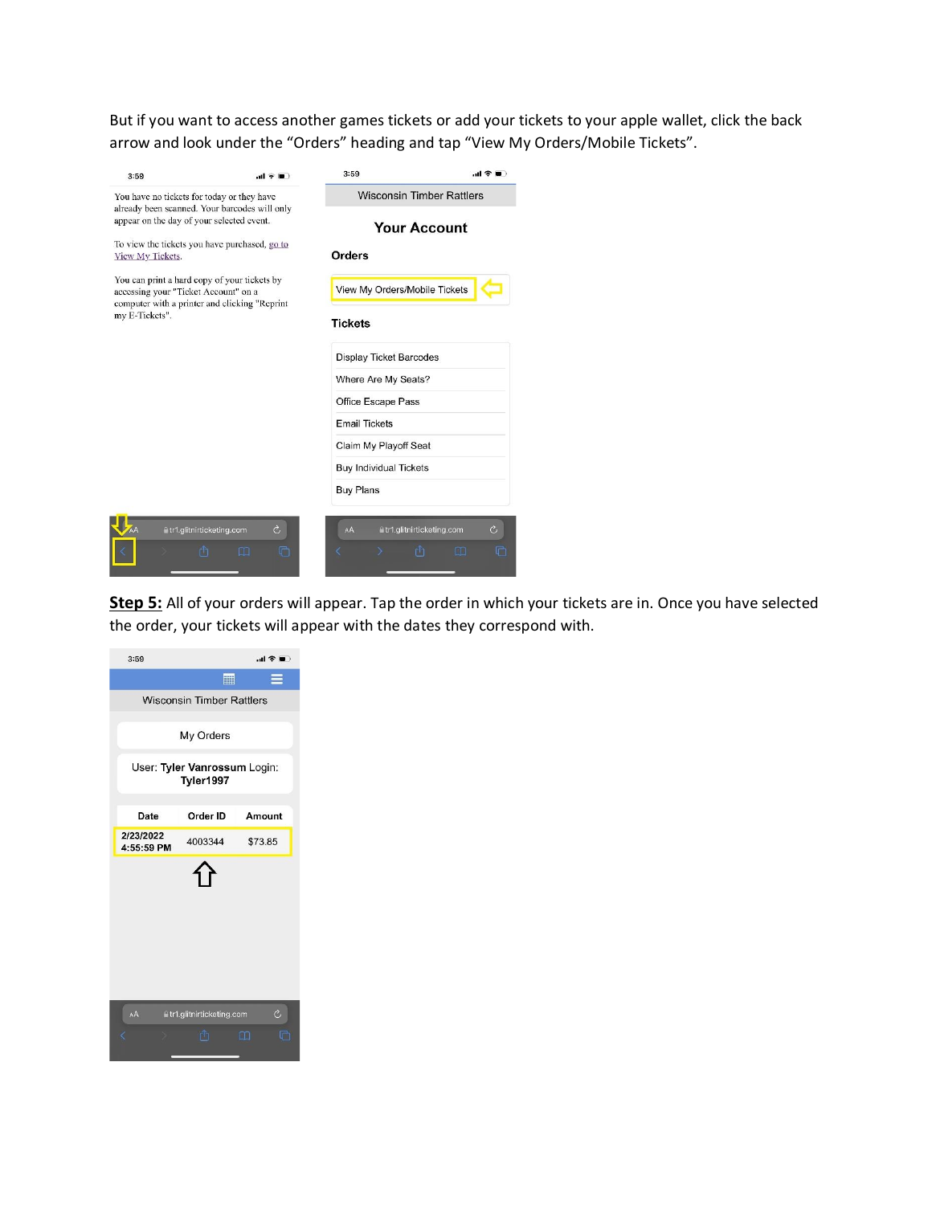But if you want to access another games tickets or add your tickets to your apple wallet, click the back arrow and look under the "Orders" heading and tap "View My Orders/Mobile Tickets".

| 3:59                                                                                        | al VIII                                                                                       | 3:59                                                                                       |                                       |  |  |  |
|---------------------------------------------------------------------------------------------|-----------------------------------------------------------------------------------------------|--------------------------------------------------------------------------------------------|---------------------------------------|--|--|--|
| You have no tickets for today or they have<br>already been scanned. Your barcodes will only |                                                                                               | <b>Wisconsin Timber Rattlers</b>                                                           |                                       |  |  |  |
| appear on the day of your selected event.                                                   |                                                                                               |                                                                                            | <b>Your Account</b>                   |  |  |  |
| View My Tickets.                                                                            | To view the tickets you have purchased, go to                                                 | Orders                                                                                     |                                       |  |  |  |
| accessing your "Ticket Account" on a                                                        | You can print a hard copy of your tickets by<br>computer with a printer and clicking "Reprint | View My Orders/Mobile Tickets                                                              |                                       |  |  |  |
| my E-Tickets".                                                                              |                                                                                               | <b>Tickets</b>                                                                             |                                       |  |  |  |
|                                                                                             |                                                                                               | <b>Display Ticket Barcodes</b>                                                             |                                       |  |  |  |
|                                                                                             |                                                                                               | Where Are My Seats?<br>Office Escape Pass<br><b>Email Tickets</b><br>Claim My Playoff Seat |                                       |  |  |  |
|                                                                                             |                                                                                               |                                                                                            |                                       |  |  |  |
|                                                                                             |                                                                                               |                                                                                            |                                       |  |  |  |
|                                                                                             |                                                                                               |                                                                                            |                                       |  |  |  |
|                                                                                             |                                                                                               | <b>Buy Individual Tickets</b>                                                              |                                       |  |  |  |
|                                                                                             |                                                                                               | <b>Buy Plans</b>                                                                           |                                       |  |  |  |
|                                                                                             |                                                                                               |                                                                                            |                                       |  |  |  |
|                                                                                             | Ò<br>■tr1.glitnirticketing.com                                                                | AÅ                                                                                         | Ò<br><b>■tr1.glitnirticketing.com</b> |  |  |  |
|                                                                                             |                                                                                               |                                                                                            |                                       |  |  |  |

**Step 5:** All of your orders will appear. Tap the order in which your tickets are in. Once you have selected the order, your tickets will appear with the dates they correspond with.

| 3:59                                      |                                 | 山幸田         |  |  |  |  |
|-------------------------------------------|---------------------------------|-------------|--|--|--|--|
|                                           | 噩                               |             |  |  |  |  |
| <b>Wisconsin Timber Rattlers</b>          |                                 |             |  |  |  |  |
|                                           | My Orders                       |             |  |  |  |  |
| User: Tyler Vanrossum Login:<br>Tyler1997 |                                 |             |  |  |  |  |
| Date                                      | Order ID                        | Amount      |  |  |  |  |
| 2/23/2022<br>4:55:59 PM                   | 4003344                         | \$73.85     |  |  |  |  |
|                                           |                                 |             |  |  |  |  |
| AA                                        | a tr1.glitnirticketing.com<br>m | Ò<br>m<br>m |  |  |  |  |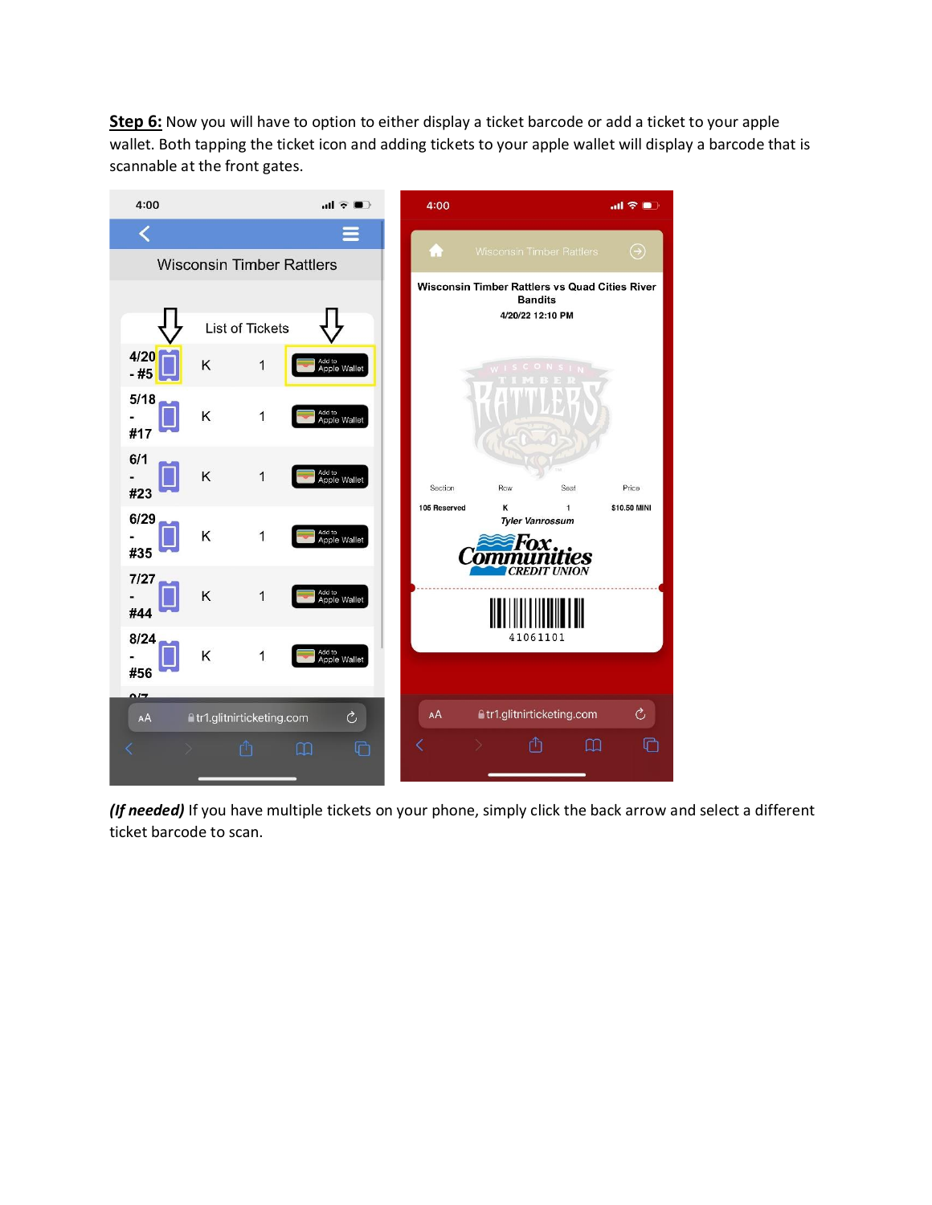**Step 6:** Now you will have to option to either display a ticket barcode or add a ticket to your apple wallet. Both tapping the ticket icon and adding tickets to your apple wallet will display a barcode that is scannable at the front gates.



*(If needed)* If you have multiple tickets on your phone, simply click the back arrow and select a different ticket barcode to scan.